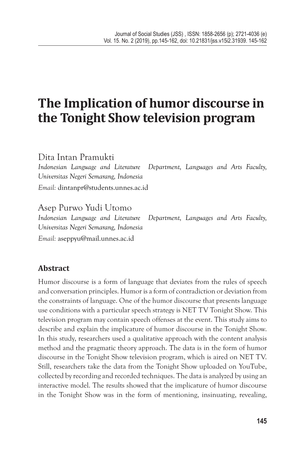# **The Implication of humor discourse in the Tonight Show television program**

Dita Intan Pramukti *Indonesian Language and Literature Department, Languages and Arts Faculty, Universitas Negeri Semarang, Indonesia Email:* dintanpr@students.unnes.ac.id

Asep Purwo Yudi Utomo *Indonesian Language and Literature Department, Languages and Arts Faculty, Universitas Negeri Semarang, Indonesia Email:* aseppyu@mail.unnes.ac.id

# **Abstract**

Humor discourse is a form of language that deviates from the rules of speech and conversation principles. Humor is a form of contradiction or deviation from the constraints of language. One of the humor discourse that presents language use conditions with a particular speech strategy is NET TV Tonight Show. This television program may contain speech offenses at the event. This study aims to describe and explain the implicature of humor discourse in the Tonight Show. In this study, researchers used a qualitative approach with the content analysis method and the pragmatic theory approach. The data is in the form of humor discourse in the Tonight Show television program, which is aired on NET TV. Still, researchers take the data from the Tonight Show uploaded on YouTube, collected by recording and recorded techniques. The data is analyzed by using an interactive model. The results showed that the implicature of humor discourse in the Tonight Show was in the form of mentioning, insinuating, revealing,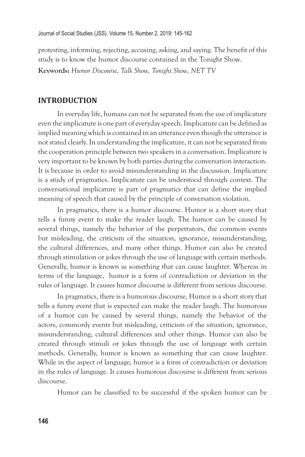protesting, informing, rejecting, accusing, asking, and saying. The benefit of this study is to know the humor discourse contained in the Tonight Show. **Keywords:** *Humor Discourse, Talk Show, Tonight Show, NET TV*

### **INTRODUCTION**

In everyday life, humans can not be separated from the use of implicature even the implicature is one part of everyday speech. Implicature can be defined as implied meaning which is contained in an utterance even though the utterance is not stated clearly. In understanding the implicature, it can not be separated from the cooperation principle between two speakers in a conversation. Implicature is very important to be known by both parties during the conversation interaction. It is because in order to avoid misunderstanding in the discussion. Implicature is a study of pragmatics. Implicature can be understood through context. The conversational implicature is part of pragmatics that can define the implied meaning of speech that caused by the principle of conversation violation.

In pragmatics, there is a humor discourse. Humor is a short story that tells a funny event to make the reader laugh. The humor can be caused by several things, namely the behavior of the perpetrators, the common events but misleading, the criticism of the situation, ignorance, misunderstanding, the cultural differences, and many other things. Humor can also be created through stimulation or jokes through the use of language with certain methods. Generally, humor is known as something that can cause laughter. Whereas in terms of the language, humor is a form of contradiction or deviation in the rules of language. It causes humor discourse is different from serious discourse.

In pragmatics, there is a humorous discourse. Humor is a short story that tells a funny event that is expected can make the reader laugh. The humorous of a humor can be caused by several things, namely the behavior of the actors, commonly events but misleading, criticism of the situation, ignorance, misunderstanding, cultural differences and other things. Humor can also be created through stimuli or jokes through the use of language with certain methods. Generally, humor is known as something that can cause laughter. While in the aspect of language, humor is a form of contradiction or deviation in the rules of language. It causes humorous discourse is different from serious discourse.

Humor can be classified to be successful if the spoken humor can be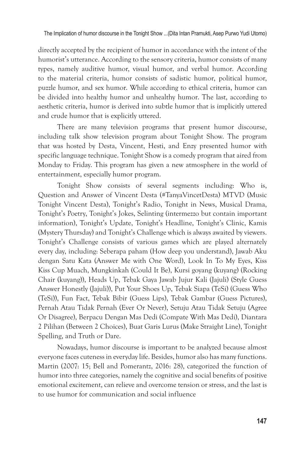directly accepted by the recipient of humor in accordance with the intent of the humorist's utterance. According to the sensory criteria, humor consists of many types, namely auditive humor, visual humor, and verbal humor. According to the material criteria, humor consists of sadistic humor, political humor, puzzle humor, and sex humor. While according to ethical criteria, humor can be divided into healthy humor and unhealthy humor. The last, according to aesthetic criteria, humor is derived into subtle humor that is implicitly uttered and crude humor that is explicitly uttered.

There are many television programs that present humor discourse, including talk show television program about Tonight Show. The program that was hosted by Desta, Vincent, Hesti, and Enzy presented humor with specific language technique. Tonight Show is a comedy program that aired from Monday to Friday. This program has given a new atmosphere in the world of entertainment, especially humor program.

Tonight Show consists of several segments including: Who is, Question and Answer of Vincent Desta (#TanyaVincetDesta) MTVD (Music Tonight Vincent Desta), Tonight's Radio, Tonight in News, Musical Drama, Tonight's Poetry, Tonight's Jokes, Selinting (intermezzo but contain important information), Tonight's Update, Tonight's Headline, Tonight's Clinic, Kamis (Mystery Thursday) and Tonight's Challenge which is always awaited by viewers. Tonight's Challenge consists of various games which are played alternately every day, including: Seberapa paham (How deep you understand), Jawab Aku dengan Satu Kata (Answer Me with One Word), Look In To My Eyes, Kiss Kiss Cup Muach, Mungkinkah (Could It Be), Kursi goyang (kuyang) (Rocking Chair (kuyang)), Heads Up, Tebak Gaya Jawab Jujur Kali (Jajuli) (Style Guess Answer Honestly (Jajuli)), Put Your Shoes Up, Tebak Siapa (TeSi) (Guess Who (TeSi)), Fun Fact, Tebak Bibir (Guess Lips), Tebak Gambar (Guess Pictures), Pernah Atau Tidak Pernah (Ever Or Never), Setuju Atau Tidak Setuju (Agree Or Disagree), Berpacu Dengan Mas Dedi (Compate With Mas Dedi), Diantara 2 Pilihan (Between 2 Choices), Buat Garis Lurus (Make Straight Line), Tonight Spelling, and Truth or Dare.

Nowadays, humor discourse is important to be analyzed because almost everyone faces cuteness in everyday life. Besides, humor also has many functions. Martin (2007: 15; Bell and Pomerantz, 2016: 28), categorized the function of humor into three categories, namely the cognitive and social benefits of positive emotional excitement, can relieve and overcome tension or stress, and the last is to use humor for communication and social influence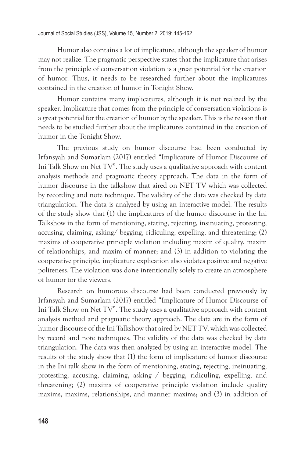Humor also contains a lot of implicature, although the speaker of humor may not realize. The pragmatic perspective states that the implicature that arises from the principle of conversation violation is a great potential for the creation of humor. Thus, it needs to be researched further about the implicatures contained in the creation of humor in Tonight Show.

Humor contains many implicatures, although it is not realized by the speaker. Implicature that comes from the principle of conversation violations is a great potential for the creation of humor by the speaker. This is the reason that needs to be studied further about the implicatures contained in the creation of humor in the Tonight Show.

The previous study on humor discourse had been conducted by Irfansyah and Sumarlam (2017) entitled "Implicature of Humor Discourse of Ini Talk Show on Net TV". The study uses a qualitative approach with content analysis methods and pragmatic theory approach. The data in the form of humor discourse in the talkshow that aired on NET TV which was collected by recording and note technique. The validity of the data was checked by data triangulation. The data is analyzed by using an interactive model. The results of the study show that (1) the implicatures of the humor discourse in the Ini Talkshow in the form of mentioning, stating, rejecting, insinuating, protesting, accusing, claiming, asking/ begging, ridiculing, expelling, and threatening; (2) maxims of cooperative principle violation including maxim of quality, maxim of relationships, and maxim of manner; and (3) in addition to violating the cooperative principle, implicature explication also violates positive and negative politeness. The violation was done intentionally solely to create an atmosphere of humor for the viewers.

Research on humorous discourse had been conducted previously by Irfansyah and Sumarlam (2017) entitled "Implicature of Humor Discourse of Ini Talk Show on Net TV". The study uses a qualitative approach with content analysis method and pragmatic theory approach. The data are in the form of humor discourse of the Ini Talkshow that aired by NET TV, which was collected by record and note techniques. The validity of the data was checked by data triangulation. The data was then analyzed by using an interactive model. The results of the study show that (1) the form of implicature of humor discourse in the Ini talk show in the form of mentioning, stating, rejecting, insinuating, protesting, accusing, claiming, asking / begging, ridiculing, expelling, and threatening; (2) maxims of cooperative principle violation include quality maxims, maxims, relationships, and manner maxims; and (3) in addition of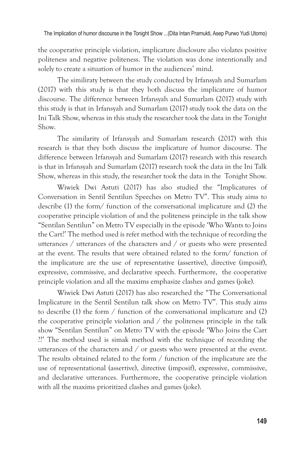the cooperative principle violation, implicature disclosure also violates positive politeness and negative politeness. The violation was done intentionally and solely to create a situation of humor in the audiences' mind.

The similiraty between the study conducted by Irfansyah and Sumarlam (2017) with this study is that they both discuss the implicature of humor discourse. The difference between Irfansyah and Sumarlam (2017) study with this study is that in Irfansyah and Sumarlam (2017) study took the data on the Ini Talk Show, whereas in this study the researcher took the data in the Tonight Show.

The similarity of Irfansyah and Sumarlam research (2017) with this research is that they both discuss the implicature of humor discourse. The difference between Irfansyah and Sumarlam (2017) research with this research is that in Irfansyah and Sumarlam (2017) research took the data in the Ini Talk Show, whereas in this study, the researcher took the data in the Tonight Show.

Wiwiek Dwi Astuti (2017) has also studied the "Implicatures of Conversation in Sentil Sentilun Speeches on Metro TV". This study aims to describe (1) the form/ function of the conversational implicature and (2) the cooperative principle violation of and the politeness principle in the talk show "Sentilan Sentilun" on Metro TV especially in the episode 'Who Wants to Joins the Cart?' The method used is refer method with the technique of recording the utterances / utterances of the characters and / or guests who were presented at the event. The results that were obtained related to the form/ function of the implicature are the use of representative (assertive), directive (imposif), expressive, commissive, and declarative speech. Furthermore, the cooperative principle violation and all the maxims emphasize clashes and games (joke).

Wiwiek Dwi Astuti (2017) has also researched the "The Conversational Implicature in the Sentil Sentilun talk show on Metro TV". This study aims to describe (1) the form / function of the conversational implicature and (2) the cooperative principle violation and / the politeness principle in the talk show "Sentilan Sentilun" on Metro TV with the episode 'Who Joins the Cart ??' The method used is simak method with the technique of recording the utterances of the characters and / or guests who were presented at the event. The results obtained related to the form / function of the implicature are the use of representational (assertive), directive (imposif), expressive, commissive, and declarative utterances. Furthermore, the cooperative principle violation with all the maxims prioritized clashes and games (joke).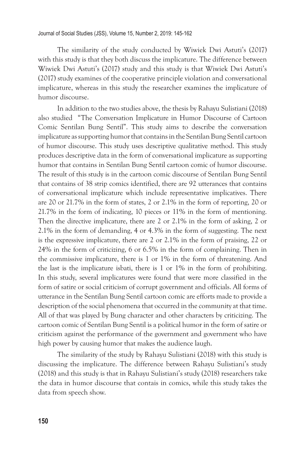The similarity of the study conducted by Wiwiek Dwi Astuti's (2017) with this study is that they both discuss the implicature. The difference between Wiwiek Dwi Astuti's (2017) study and this study is that Wiwiek Dwi Astuti's (2017) study examines of the cooperative principle violation and conversational implicature, whereas in this study the researcher examines the implicature of humor discourse.

In addition to the two studies above, the thesis by Rahayu Sulistiani (2018) also studied "The Conversation Implicature in Humor Discourse of Cartoon Comic Sentilan Bung Sentil". This study aims to describe the conversation implicature as supporting humor that contains in the Sentilan Bung Sentil cartoon of humor discourse. This study uses descriptive qualitative method. This study produces descriptive data in the form of conversational implicature as supporting humor that contains in Sentilan Bung Sentil cartoon comic of humor discourse. The result of this study is in the cartoon comic discourse of Sentilan Bung Sentil that contains of 38 strip comics identified, there are 92 utterances that contains of conversational implicature which include representative implicatives. There are 20 or 21.7% in the form of states, 2 or 2.1% in the form of reporting, 20 or 21.7% in the form of indicating, 10 pieces or 11% in the form of mentioning. Then the directive implicature, there are 2 or 2.1% in the form of asking, 2 or 2.1% in the form of demanding, 4 or 4.3% in the form of suggesting. The next is the expressive implicature, there are 2 or 2.1% in the form of praising, 22 or 24% in the form of criticizing, 6 or 6.5% in the form of complaining. Then in the commissive implicature, there is 1 or 1% in the form of threatening. And the last is the implicature isbati, there is 1 or 1% in the form of prohibiting. In this study, several implicatures were found that were more classified in the form of satire or social criticism of corrupt government and officials. All forms of utterance in the Sentilan Bung Sentil cartoon comic are efforts made to provide a description of the social phenomena that occurred in the community at that time. All of that was played by Bung character and other characters by criticizing. The cartoon comic of Sentilan Bung Sentil is a political humor in the form of satire or criticism against the performance of the government and government who have high power by causing humor that makes the audience laugh.

The similarity of the study by Rahayu Sulistiani (2018) with this study is discussing the implicature. The difference between Rahayu Sulistiani's study (2018) and this study is that in Rahayu Sulistiani's study (2018) researchers take the data in humor discourse that contais in comics, while this study takes the data from speech show.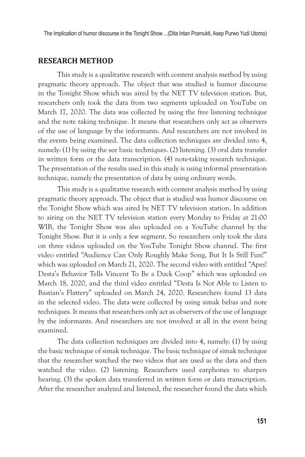#### **RESEARCH METHOD**

This study is a qualitative research with content analysis method by using pragmatic theory approach. The object that was studied is humor discourse in the Tonight Show which was aired by the NET TV television station. But, researchers only took the data from two segments uploaded on YouTube on March 17, 2020. The data was collected by using the free listening technique and the note taking technique. It means that researchers only act as observers of the use of language by the informants. And researchers are not involved in the events being examined. The data collection techniques are divided into 4, namely: (1) by using the see basic techniques. (2) listening. (3) oral data transfer in written form or the data transcription. (4) note-taking research technique. The presentation of the results used in this study is using informal presentation technique, namely the presentation of data by using ordinary words.

This study is a qualitative research with content analysis method by using pragmatic theory approach. The object that is studied was humor discourse on the Tonight Show which was aired by NET TV television station. In addition to airing on the NET TV television station every Monday to Friday at 21:00 WIB, the Tonight Show was also uploaded on a YouTube channel by the Tonight Show. But it is only a few segment. So researchers only took the data on three videos uploaded on the YouTube Tonight Show channel. The first video entitled "Audience Can Only Roughly Make Song, But It Is Still Fun!" which was uploaded on March 21, 2020. The second video with entitled "Apes! Desta's Behavior Tells Vincent To Be a Duck Coop" which was uploaded on March 18, 2020, and the third video entitled "Desta Is Not Able to Listen to Bastian's Flattery" uploaded on March 24, 2020. Researchers found 13 data in the selected video. The data were collected by using simak bebas and note techniques. It means that researchers only act as observers of the use of language by the informants. And researchers are not involved at all in the event being examined.

The data collection techniques are divided into 4, namely: (1) by using the basic technique of simak technique. The basic technique of simak technique that the researcher watched the two videos that are used as the data and then watched the video. (2) listening. Researchers used earphones to sharpen hearing. (3) the spoken data transferred in written form or data transcription. After the researcher analyzed and listened, the researcher found the data which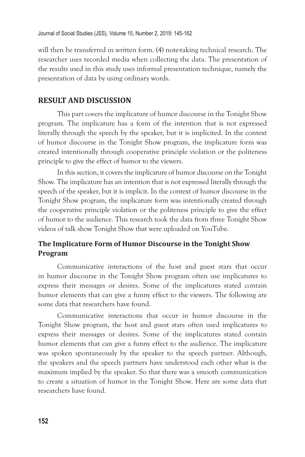will then be transferred in written form. (4) note-taking technical research. The researcher uses recorded media when collecting the data. The presentation of the results used in this study uses informal presentation technique, namely the presentation of data by using ordinary words.

#### **RESULT AND DISCUSSION**

This part covers the implicature of humor discourse in the Tonight Show program. The implicature has a form of the intention that is not expressed literally through the speech by the speaker, but it is implicited. In the context of humor discourse in the Tonight Show program, the implicature form was created intentionally through cooperative principle violation or the politeness principle to give the effect of humor to the viewers.

In this section, it covers the implicature of humor discourse on the Tonight Show. The implicature has an intention that is not expressed literally through the speech of the speaker, but it is implicit. In the context of humor discourse in the Tonight Show program, the implicature form was intentionally created through the cooperative principle violation or the politeness principle to give the effect of humor to the audience. This research took the data from three Tonight Show videos of talk show Tonight Show that were uploaded on YouTube.

# **The Implicature Form of Humor Discourse in the Tonight Show Program**

Communicative interactions of the host and guest stars that occur in humor discourse in the Tonight Show program often use implicatures to express their messages or desires. Some of the implicatures stated contain humor elements that can give a funny effect to the viewers. The following are some data that researchers have found.

Communicative interactions that occur in humor discourse in the Tonight Show program, the host and guest stars often used implicatures to express their messages or desires. Some of the implicatures stated contain humor elements that can give a funny effect to the audience. The implicature was spoken spontaneously by the speaker to the speech partner. Although, the speakers and the speech partners have understood each other what is the maximum implied by the speaker. So that there was a smooth communication to create a situation of humor in the Tonight Show. Here are some data that researchers have found.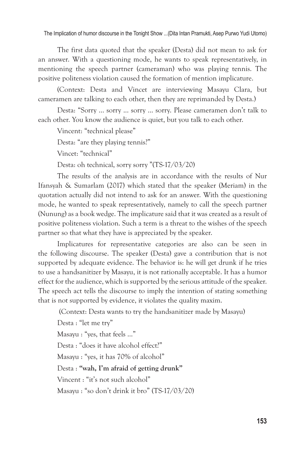The first data quoted that the speaker (Desta) did not mean to ask for an answer. With a questioning mode, he wants to speak representatively, in mentioning the speech partner (cameraman) who was playing tennis. The positive politeness violation caused the formation of mention implicature.

(Context: Desta and Vincet are interviewing Masayu Clara, but cameramen are talking to each other, then they are reprimanded by Desta.)

Desta: "Sorry ... sorry ... sorry ... sorry. Please cameramen don't talk to each other. You know the audience is quiet, but you talk to each other.

Vincent: "technical please"

Desta: "are they playing tennis?"

Vincet: "technical"

Desta: oh technical, sorry sorry "(TS-17/03/20)

The results of the analysis are in accordance with the results of Nur Ifansyah & Sumarlam (2017) which stated that the speaker (Meriam) in the quotation actually did not intend to ask for an answer. With the questioning mode, he wanted to speak representatively, namely to call the speech partner (Nunung) as a book wedge. The implicature said that it was created as a result of positive politeness violation. Such a term is a threat to the wishes of the speech partner so that what they have is appreciated by the speaker.

Implicatures for representative categories are also can be seen in the following discourse. The speaker (Desta) gave a contribution that is not supported by adequate evidence. The behavior is: he will get drunk if he tries to use a handsanitizer by Masayu, it is not rationally acceptable. It has a humor effect for the audience, which is supported by the serious attitude of the speaker. The speech act tells the discourse to imply the intention of stating something that is not supported by evidence, it violates the quality maxim.

(Context: Desta wants to try the handsanitizer made by Masayu)

Desta : "let me try" Masayu : "yes, that feels …" Desta : "does it have alcohol effect?" Masayu : "yes, it has 70% of alcohol" Desta : **"wah, I'm afraid of getting drunk"** Vincent : "it's not such alcohol" Masayu : "so don't drink it bro" (TS-17/03/20)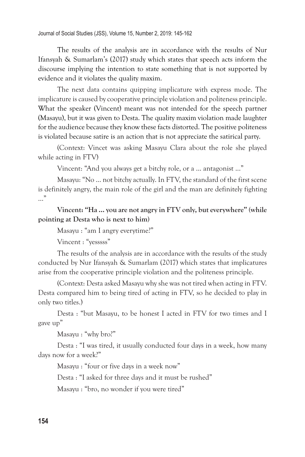The results of the analysis are in accordance with the results of Nur Ifansyah & Sumarlam's (2017) study which states that speech acts inform the discourse implying the intention to state something that is not supported by evidence and it violates the quality maxim.

The next data contains quipping implicature with express mode. The implicature is caused by cooperative principle violation and politeness principle. What the speaker (Vincent) meant was not intended for the speech partner (Masayu), but it was given to Desta. The quality maxim violation made laughter for the audience because they know these facts distorted. The positive politeness is violated because satire is an action that is not appreciate the satirical party.

(Context: Vincet was asking Masayu Clara about the role she played while acting in FTV)

Vincent: "And you always get a bitchy role, or a ... antagonist ..."

Masayu: "No ... not bitchy actually. In FTV, the standard of the first scene is definitely angry, the main role of the girl and the man are definitely fighting  $\ldots$ "

## **Vincent: "Ha ... you are not angry in FTV only, but everywhere" (while pointing at Desta who is next to him)**

Masayu : "am I angry everytime?"

Vincent : "yesssss"

The results of the analysis are in accordance with the results of the study conducted by Nur Ifansyah & Sumarlam (2017) which states that implicatures arise from the cooperative principle violation and the politeness principle.

(Context: Desta asked Masayu why she was not tired when acting in FTV. Desta compared him to being tired of acting in FTV, so he decided to play in only two titles.)

Desta : "but Masayu, to be honest I acted in FTV for two times and I gave up"

Masayu : "why bro?"

Desta : "I was tired, it usually conducted four days in a week, how many days now for a week?"

Masayu : "four or five days in a week now"

Desta : "I asked for three days and it must be rushed"

Masayu : "bro, no wonder if you were tired"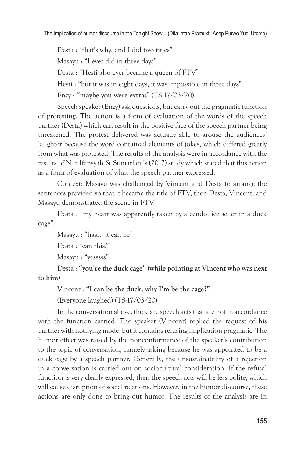Desta : "that's why, and I did two titles" Masayu : "I ever did in three days" Desta : "Hesti also ever became a queen of FTV" Hesti : "but it was in eight days, it was impossible in three days" Enzy : **"maybe you were extras**" (TS-17/03/20)

Speech speaker (Enzy) ask questions, but carry out the pragmatic function of protesting. The action is a form of evaluation of the words of the speech partner (Desta) which can result in the positive face of the speech partner being threatened. The protest delivered was actually able to arouse the audiences' laughter because the word contained elements of jokes, which differed greatly from what was protested. The results of the analysis were in accordance with the results of Nur Ifansyah & Sumarlam's (2017) study which stated that this action as a form of evaluation of what the speech partner expressed.

Context: Masayu was challenged by Vincent and Desta to arrange the sentences provided so that it became the title of FTV, then Desta, Vincent, and Masayu demonstrated the scene in FTV

Desta : "my heart was apparently taken by a cendol ice seller in a duck cage"

Masayu : "haa... it can be"

Desta : "can this?"

Masayu : "yesssss"

Desta : **"you're the duck cage" (while pointing at Vincent who was next to him)**

Vincent : **"I can be the duck, why I'm be the cage?"**

(Everyone laughed) (TS-17/03/20)

In the conversation above, there are speech acts that are not in accordance with the function carried. The speaker (Vincent) replied the request of his partner with notifying mode, but it contains refusing implication pragmatic. The humor effect was raised by the nonconformance of the speaker's contribution to the topic of conversation, namely asking because he was appointed to be a duck cage by a speech partner. Generally, the unsustainability of a rejection in a conversation is carried out on sociocultural consideration. If the refusal function is very clearly expressed, then the speech acts will be less polite, which will cause disruption of social relations. However, in the humor discourse, these actions are only done to bring out humor. The results of the analysis are in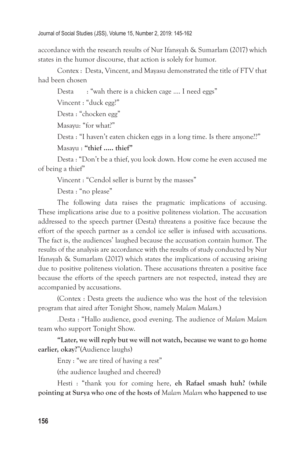accordance with the research results of Nur Ifansyah & Sumarlam (2017) which states in the humor discourse, that action is solely for humor.

Contex : Desta, Vincent, and Mayasu demonstrated the title of FTV that had been chosen

Desta : "wah there is a chicken cage .... I need eggs"

Vincent : "duck egg?"

Desta : "chocken egg"

Masayu: "for what?"

Desta : "I haven't eaten chicken eggs in a long time. Is there anyone??"

```
Masayu : "thief ..... thief"
```
Desta : "Don't be a thief, you look down. How come he even accused me of being a thief"

Vincent : "Cendol seller is burnt by the masses"

Desta : "no please"

The following data raises the pragmatic implications of accusing. These implications arise due to a positive politeness violation. The accusation addressed to the speech partner (Desta) threatens a positive face because the effort of the speech partner as a cendol ice seller is infused with accusations. The fact is, the audiences' laughed because the accusation contain humor. The results of the analysis are accordance with the results of study conducted by Nur Ifansyah & Sumarlam (2017) which states the implications of accusing arising due to positive politeness violation. These accusations threaten a positive face because the efforts of the speech partners are not respected, instead they are accompanied by accusations.

(Contex : Desta greets the audience who was the host of the television program that aired after Tonight Show, namely *Malam Malam.*)

*.*Desta : "Hallo audience, good evening. The audience of *Malam Malam*  team who support Tonight Show.

**"Later, we will reply but we will not watch, because we want to go home earlier, okay?**"(Audience laughs)

Enzy : "we are tired of having a rest"

(the audience laughed and cheered)

Hesti : "thank you for coming here, **eh Rafael smash huh? (while pointing at Surya who one of the hosts of** *Malam Malam* **who happened to use**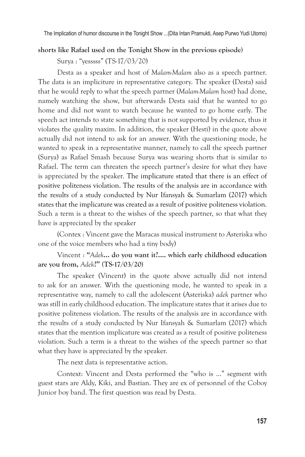#### **shorts like Rafael used on the Tonight Show in the previous episode)**

Surya : "yesssss" (TS-17/03/20)

Desta as a speaker and host of *Malam-Malam* also as a speech partner. The data is an impliciture in representative category. The speaker (Desta) said that he would reply to what the speech partner (*Malam-Malam* host) had done, namely watching the show, but afterwards Desta said that he wanted to go home and did not want to watch because he wanted to go home early. The speech act intends to state something that is not supported by evidence, thus it violates the quality maxim. In addition, the speaker (Hesti) in the quote above actually did not intend to ask for an answer. With the questioning mode, he wanted to speak in a representative manner, namely to call the speech partner (Surya) as Rafael Smash because Surya was wearing shorts that is similar to Rafael. The term can threaten the speech partner's desire for what they have is appreciated by the speaker. The implicature stated that there is an effect of positive politeness violation. The results of the analysis are in accordance with the results of a study conducted by Nur Ifansyah & Sumarlam (2017) which states that the implicature was created as a result of positive politeness violation. Such a term is a threat to the wishes of the speech partner, so that what they have is appreciated by the speaker

(Contex : Vincent gave the Maracas musical instrument to Asteriska who one of the voice members who had a tiny body)

### Vincent : **"***Adek***… do you want it?…. which early childhood education are you from,** *Adek***?" (TS-17/03/20)**

The speaker (Vincent) in the quote above actually did not intend to ask for an answer. With the questioning mode, he wanted to speak in a representative way, namely to call the adolescent (Asteriska) *adek* partner who was still in early childhood education. The implicature states that it arises due to positive politeness violation. The results of the analysis are in accordance with the results of a study conducted by Nur Ifansyah & Sumarlam (2017) which states that the mention implicature was created as a result of positive politeness violation. Such a term is a threat to the wishes of the speech partner so that what they have is appreciated by the speaker.

The next data is representative action.

Context: Vincent and Desta performed the "who is ..." segment with guest stars are Aldy, Kiki, and Bastian. They are ex of personnel of the Coboy Junior boy band. The first question was read by Desta.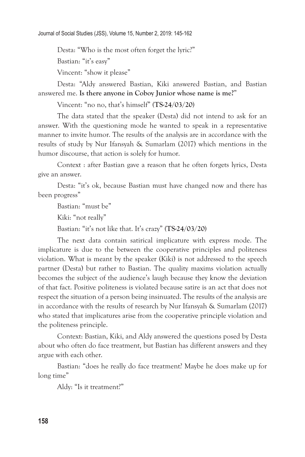Desta: "Who is the most often forget the lyric?"

Bastian: "it's easy"

Vincent: "show it please"

Desta: "Aldy answered Bastian, Kiki answered Bastian, and Bastian answered me. **Is there anyone in Coboy Junior whose name is me?**"

Vincent: "no no, that's himself" **(TS-24/03/20)**

The data stated that the speaker (Desta) did not intend to ask for an answer. With the questioning mode he wanted to speak in a representative manner to invite humor. The results of the analysis are in accordance with the results of study by Nur Ifansyah & Sumarlam (2017) which mentions in the humor discourse, that action is solely for humor.

Context : after Bastian gave a reason that he often forgets lyrics, Desta give an answer.

Desta: "it's ok, because Bastian must have changed now and there has been progress"

Bastian: "must be"

Kiki: "not really"

Bastian: "it's not like that. It's crazy" **(TS-24/03/20)**

The next data contain satirical implicature with express mode. The implicature is due to the between the cooperative principles and politeness violation. What is meant by the speaker (Kiki) is not addressed to the speech partner (Desta) but rather to Bastian. The quality maxims violation actually becomes the subject of the audience's laugh because they know the deviation of that fact. Positive politeness is violated because satire is an act that does not respect the situation of a person being insinuated. The results of the analysis are in accordance with the results of research by Nur Ifansyah & Sumarlam (2017) who stated that implicatures arise from the cooperative principle violation and the politeness principle.

Context: Bastian, Kiki, and Aldy answered the questions posed by Desta about who often do face treatment, but Bastian has different answers and they argue with each other.

Bastian: "does he really do face treatment? Maybe he does make up for long time"

Aldy: "Is it treatment?"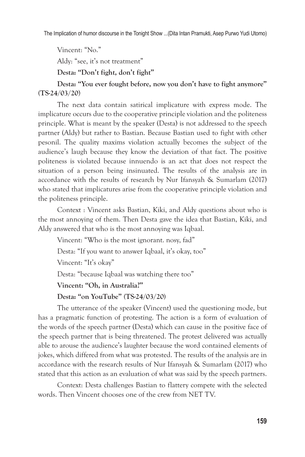Vincent: "No."

Aldy: "see, it's not treatment"

**Desta: "Don't fight, don't fight"**

**Desta: "You ever fought before, now you don't have to fight anymore" (TS-24/03/20**)

The next data contain satirical implicature with express mode. The implicature occurs due to the cooperative principle violation and the politeness principle. What is meant by the speaker (Desta) is not addressed to the speech partner (Aldy) but rather to Bastian. Because Bastian used to fight with other pesonil. The quality maxims violation actually becomes the subject of the audience's laugh because they know the deviation of that fact. The positive politeness is violated because innuendo is an act that does not respect the situation of a person being insinuated. The results of the analysis are in accordance with the results of research by Nur Ifansyah & Sumarlam (2017) who stated that implicatures arise from the cooperative principle violation and the politeness principle.

Context : Vincent asks Bastian, Kiki, and Aldy questions about who is the most annoying of them. Then Desta gave the idea that Bastian, Kiki, and Aldy answered that who is the most annoying was Iqbaal.

Vincent: "Who is the most ignorant. nosy, fad"

Desta: "If you want to answer Iqbaal, it's okay, too"

Vincent: "It's okay"

Desta: "because Iqbaal was watching there too"

**Vincent: "Oh, in Australia?"**

**Desta: "on YouTube" (TS-24/03/20)**

The utterance of the speaker (Vincent) used the questioning mode, but has a pragmatic function of protesting. The action is a form of evaluation of the words of the speech partner (Desta) which can cause in the positive face of the speech partner that is being threatened. The protest delivered was actually able to arouse the audience's laughter because the word contained elements of jokes, which differed from what was protested. The results of the analysis are in accordance with the research results of Nur Ifansyah & Sumarlam (2017) who stated that this action as an evaluation of what was said by the speech partners.

Context: Desta challenges Bastian to flattery compete with the selected words. Then Vincent chooses one of the crew from NET TV.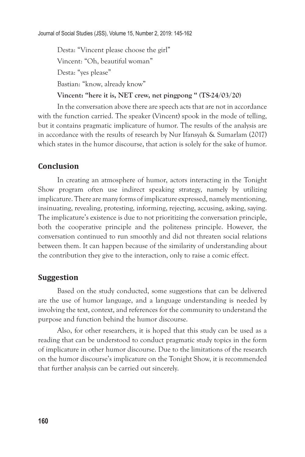Desta: "Vincent please choose the girl" Vincent: "Oh, beautiful woman" Desta: "yes please" Bastian: "know, already know"

**Vincent: "here it is, NET crew, net pingpong " (TS-24/03/20)**

In the conversation above there are speech acts that are not in accordance with the function carried. The speaker (Vincent) spook in the mode of telling, but it contains pragmatic implicature of humor. The results of the analysis are in accordance with the results of research by Nur Ifansyah & Sumarlam (2017) which states in the humor discourse, that action is solely for the sake of humor.

# **Conclusion**

In creating an atmosphere of humor, actors interacting in the Tonight Show program often use indirect speaking strategy, namely by utilizing implicature. There are many forms of implicature expressed, namely mentioning, insinuating, revealing, protesting, informing, rejecting, accusing, asking, saying. The implicature's existence is due to not prioritizing the conversation principle, both the cooperative principle and the politeness principle. However, the conversation continued to run smoothly and did not threaten social relations between them. It can happen because of the similarity of understanding about the contribution they give to the interaction, only to raise a comic effect.

## **Suggestion**

Based on the study conducted, some suggestions that can be delivered are the use of humor language, and a language understanding is needed by involving the text, context, and references for the community to understand the purpose and function behind the humor discourse.

Also, for other researchers, it is hoped that this study can be used as a reading that can be understood to conduct pragmatic study topics in the form of implicature in other humor discourse. Due to the limitations of the research on the humor discourse's implicature on the Tonight Show, it is recommended that further analysis can be carried out sincerely.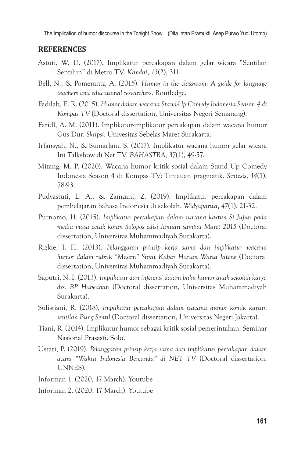#### **REFERENCES**

- Astuti, W. D. (2017). Implikatur percakapan dalam gelar wicara "Sentilan Sentilun" di Metro TV. *Kandai*, *13*(2), 311.
- Bell, N., & Pomerantz, A. (2015). *Humor in the classroom: A guide for language teachers and educational researchers*. Routledge.
- Fadilah, E. R. (2015). *Humor dalam wacana Stand-Up Comedy Indonesia Season 4 di Kompas TV* (Doctoral dissertation, Universitas Negeri Semarang).
- Faridl, A. M. (2011). Implikatur-implikatur percakapan dalam wacana humor Gus Dur. *Skripsi.* Univesitas Sebelas Maret Surakarta.
- Irfansyah, N., & Sumarlam, S. (2017). Implikatur wacana humor gelar wicara Ini Talkshow di Net TV. *BAHASTRA*, *37*(1), 49-57.
- Mitang, M. P. (2020). Wacana humor kritik sosial dalam Stand Up Comedy Indonesia Season 4 di Kompas TV: Tinjauan pragmatik. *Sintesis*, *14*(1), 78-93.
- Pudyastuti, L. A., & Zamzani, Z. (2019). Implikatur percakapan dalam pembelajaran bahasa Indonesia di sekolah. *Widyaparwa*, *47*(1), 21-32.
- Purnomo, H. (2015). *Implikatur percakapan dalam wacana kartun Si Jujun pada media masa cetak koran Solopos edisi Januari sampai Maret 2015* (Doctoral dissertation, Universitas Muhammadiyah Surakarta).
- Rizkie, I. H. (2013). *Pelanggaran prinsip kerja sama dan implikatur wacana humor dalam rubrik "Mesem" Surat Kabar Harian Warta Jateng* (Doctoral dissertation, Universitas Muhammadiyah Surakarta).
- Saputri, N. I. (2013). *Implikatur dan inferensi dalam buku humor anak sekolah karya drs. BP Habeahan* (Doctoral dissertation, Universitas Muhammadiyah Surakarta).
- Sulistiani, R. (2018). *Implikatur percakapan dalam wacana humor komik kartun sentilan Bung Sentil* (Doctoral dissertation, Universitas Negeri Jakarta).
- Tiani, R. (2014). Implikatur humor sebagai kritik sosial pemerintahan. Seminar Nasional Prasasti. Solo.
- Ustari, P. (2019). *Pelanggaran prinsip kerja sama dan implikatur percakapan dalam acara "Waktu Indonesia Bercanda" di NET TV* (Doctoral dissertation, UNNES).
- Informan 1. (2020, 17 March). Youtube
- Informan 2. (2020, 17 March). Youtube